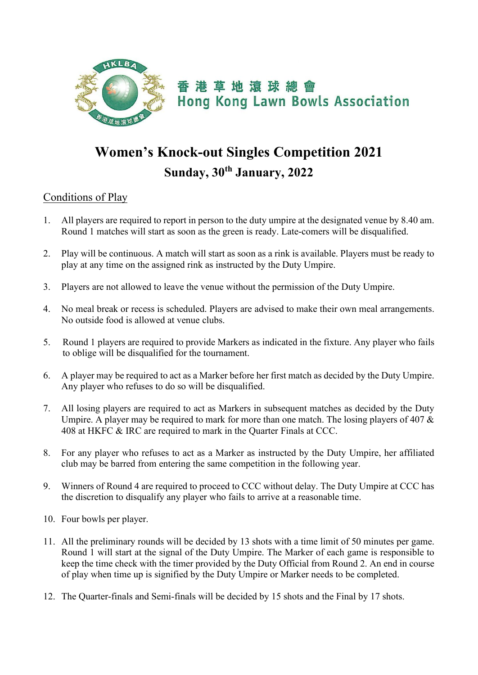

## **Women's Knock-out Singles Competition 2021 Sunday, 30th January, 2022**

## Conditions of Play

- 1. All players are required to report in person to the duty umpire at the designated venue by 8.40 am. Round 1 matches will start as soon as the green is ready. Late-comers will be disqualified.
- 2. Play will be continuous. A match will start as soon as a rink is available. Players must be ready to play at any time on the assigned rink as instructed by the Duty Umpire.
- 3. Players are not allowed to leave the venue without the permission of the Duty Umpire.
- 4. No meal break or recess is scheduled. Players are advised to make their own meal arrangements. No outside food is allowed at venue clubs.
- 5. Round 1 players are required to provide Markers as indicated in the fixture. Any player who fails to oblige will be disqualified for the tournament.
- 6. A player may be required to act as a Marker before her first match as decided by the Duty Umpire. Any player who refuses to do so will be disqualified.
- 7. All losing players are required to act as Markers in subsequent matches as decided by the Duty Umpire. A player may be required to mark for more than one match. The losing players of 407 & 408 at HKFC & IRC are required to mark in the Quarter Finals at CCC.
- 8. For any player who refuses to act as a Marker as instructed by the Duty Umpire, her affiliated club may be barred from entering the same competition in the following year.
- 9. Winners of Round 4 are required to proceed to CCC without delay. The Duty Umpire at CCC has the discretion to disqualify any player who fails to arrive at a reasonable time.
- 10. Four bowls per player.
- 11. All the preliminary rounds will be decided by 13 shots with a time limit of 50 minutes per game. Round 1 will start at the signal of the Duty Umpire. The Marker of each game is responsible to keep the time check with the timer provided by the Duty Official from Round 2. An end in course of play when time up is signified by the Duty Umpire or Marker needs to be completed.
- 12. The Quarter-finals and Semi-finals will be decided by 15 shots and the Final by 17 shots.